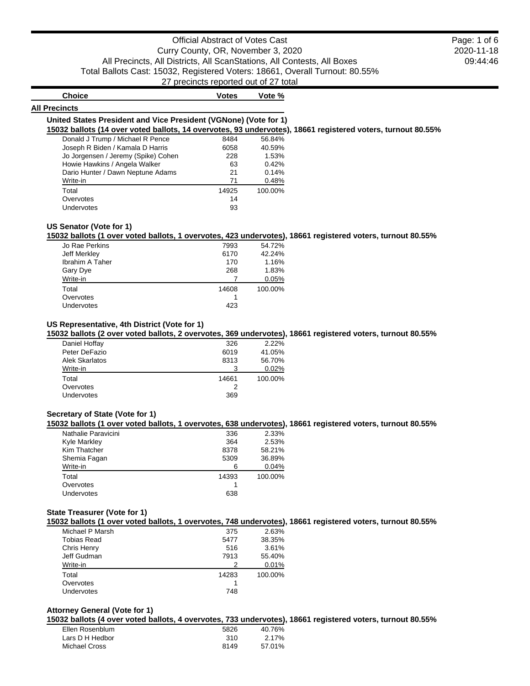# Official Abstract of Votes Cast Curry County, OR, November 3, 2020 All Precincts, All Districts, All ScanStations, All Contests, All Boxes Total Ballots Cast: 15032, Registered Voters: 18661, Overall Turnout: 80.55% 27 precincts reported out of 27 total

2020-11-18 09:44:46 Page: 1 of 6

| <b>Choice</b>                                                    | <b>Votes</b> | Vote % |
|------------------------------------------------------------------|--------------|--------|
| All Precincts                                                    |              |        |
| United States President and Vice President (VGNone) (Vote for 1) |              |        |

**15032 ballots (14 over voted ballots, 14 overvotes, 93 undervotes), 18661 registered voters, turnout 80.55%**

| Donald J Trump / Michael R Pence    | 8484  | 56.84%  |
|-------------------------------------|-------|---------|
| Joseph R Biden / Kamala D Harris    | 6058  | 40.59%  |
| Jo Jorgensen / Jeremy (Spike) Cohen | 228   | 1.53%   |
| Howie Hawkins / Angela Walker       | 63    | 0.42%   |
| Dario Hunter / Dawn Neptune Adams   | 21    | 0.14%   |
| Write-in                            | 71    | 0.48%   |
| Total                               | 14925 | 100.00% |
| Overvotes                           | 14    |         |
| Undervotes                          | 93    |         |

### **US Senator (Vote for 1)**

**15032 ballots (1 over voted ballots, 1 overvotes, 423 undervotes), 18661 registered voters, turnout 80.55%**

| Jo Rae Perkins         | 7993  | 54.72%  |
|------------------------|-------|---------|
| Jeff Merkley           | 6170  | 42.24%  |
| <b>Ibrahim A Taher</b> | 170   | 1.16%   |
| Gary Dye               | 268   | 1.83%   |
| Write-in               |       | 0.05%   |
| Total                  | 14608 | 100.00% |
| Overvotes              |       |         |
| Undervotes             | 423   |         |
|                        |       |         |

# **US Representative, 4th District (Vote for 1)**

**15032 ballots (2 over voted ballots, 2 overvotes, 369 undervotes), 18661 registered voters, turnout 80.55%**

| Daniel Hoffay         | 326   | 2.22%   |
|-----------------------|-------|---------|
| Peter DeFazio         | 6019  | 41.05%  |
| <b>Alek Skarlatos</b> | 8313  | 56.70%  |
| Write-in              |       | 0.02%   |
| Total                 | 14661 | 100.00% |
| Overvotes             |       |         |
| <b>Undervotes</b>     | 369   |         |
|                       |       |         |

## **Secretary of State (Vote for 1)**

**15032 ballots (1 over voted ballots, 1 overvotes, 638 undervotes), 18661 registered voters, turnout 80.55%**

| Nathalie Paravicini | 336   | 2.33%   |
|---------------------|-------|---------|
| <b>Kyle Markley</b> | 364   | 2.53%   |
| Kim Thatcher        | 8378  | 58.21%  |
| Shemia Fagan        | 5309  | 36.89%  |
| Write-in            |       | 0.04%   |
| Total               | 14393 | 100.00% |
| Overvotes           |       |         |
| Undervotes          | 638   |         |
|                     |       |         |

## **State Treasurer (Vote for 1)**

**15032 ballots (1 over voted ballots, 1 overvotes, 748 undervotes), 18661 registered voters, turnout 80.55%**

| Michael P Marsh | 375   | 2.63%   |
|-----------------|-------|---------|
| Tobias Read     | 5477  | 38.35%  |
| Chris Henry     | 516   | 3.61%   |
| Jeff Gudman     | 7913  | 55.40%  |
| Write-in        |       | 0.01%   |
| Total           | 14283 | 100.00% |
| Overvotes       |       |         |
| Undervotes      | 748   |         |
|                 |       |         |

### **Attorney General (Vote for 1)**

**15032 ballots (4 over voted ballots, 4 overvotes, 733 undervotes), 18661 registered voters, turnout 80.55%**

| Ellen Rosenblum | 5826 | 40.76% |
|-----------------|------|--------|
| Lars D H Hedbor | 310  | 2.17%  |
| Michael Cross   | 8149 | 57.01% |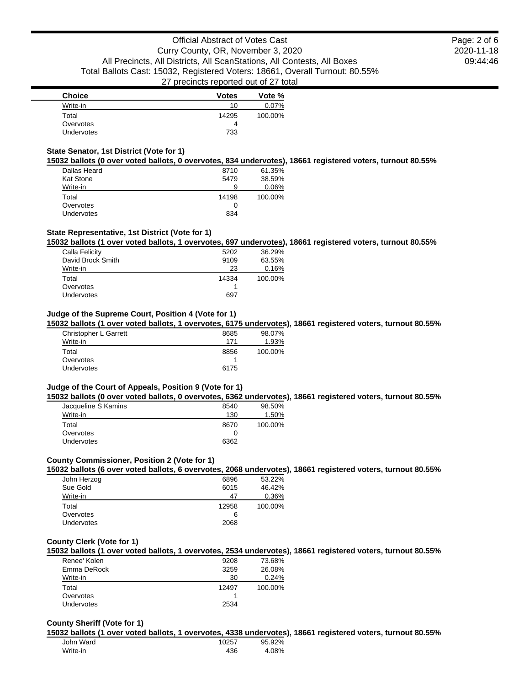2020-11-18 09:44:46 Page: 2 of 6

| <b>Choice</b>     | <b>Votes</b> | Vote %   |
|-------------------|--------------|----------|
| Write-in          | 10           | $0.07\%$ |
| Total             | 14295        | 100.00%  |
| Overvotes         | 4            |          |
| <b>Undervotes</b> | 733          |          |

# **State Senator, 1st District (Vote for 1)**

**15032 ballots (0 over voted ballots, 0 overvotes, 834 undervotes), 18661 registered voters, turnout 80.55%**

| Dallas Heard      | 8710  | 61.35%  |
|-------------------|-------|---------|
| <b>Kat Stone</b>  | 5479  | 38.59%  |
| Write-in          | 9     | 0.06%   |
| Total             | 14198 | 100.00% |
| Overvotes         |       |         |
| <b>Undervotes</b> | 834   |         |

# **State Representative, 1st District (Vote for 1)**

**15032 ballots (1 over voted ballots, 1 overvotes, 697 undervotes), 18661 registered voters, turnout 80.55%**

| Calla Felicity    | 5202  | 36.29%  |
|-------------------|-------|---------|
| David Brock Smith | 9109  | 63.55%  |
| Write-in          | 23    | 0.16%   |
| Total             | 14334 | 100.00% |
| Overvotes         |       |         |
| Undervotes        | 697   |         |
|                   |       |         |

# **Judge of the Supreme Court, Position 4 (Vote for 1)**

**15032 ballots (1 over voted ballots, 1 overvotes, 6175 undervotes), 18661 registered voters, turnout 80.55%**

| 8685<br>171 | 98.07%<br>1.93% |
|-------------|-----------------|
| 8856        | 100.00%         |
|             |                 |
| 6175        |                 |
|             |                 |

### **Judge of the Court of Appeals, Position 9 (Vote for 1)**

**15032 ballots (0 over voted ballots, 0 overvotes, 6362 undervotes), 18661 registered voters, turnout 80.55%**

| 8540 | 98.50%  |
|------|---------|
| 130  | 1.50%   |
| 8670 | 100.00% |
|      |         |
| 6362 |         |
|      |         |

# **County Commissioner, Position 2 (Vote for 1)**

**15032 ballots (6 over voted ballots, 6 overvotes, 2068 undervotes), 18661 registered voters, turnout 80.55%**

| John Herzog | 6896  | 53.22%  |
|-------------|-------|---------|
| Sue Gold    | 6015  | 46.42%  |
| Write-in    | 47    | 0.36%   |
| Total       | 12958 | 100.00% |
| Overvotes   | 6     |         |
| Undervotes  | 2068  |         |
|             |       |         |

# **County Clerk (Vote for 1)**

**15032 ballots (1 over voted ballots, 1 overvotes, 2534 undervotes), 18661 registered voters, turnout 80.55%**

| Renee' Kolen      | 9208  | 73.68%  |
|-------------------|-------|---------|
| Emma DeRock       | 3259  | 26.08%  |
| Write-in          | 30    | 0.24%   |
| Total             | 12497 | 100.00% |
| Overvotes         |       |         |
| <b>Undervotes</b> | 2534  |         |

### **County Sheriff (Vote for 1)**

**15032 ballots (1 over voted ballots, 1 overvotes, 4338 undervotes), 18661 registered voters, turnout 80.55%**

John Ward 10257 95.92% Write-in 2008 2009 2012 2022 2030 2041 205 206 207 208 209 2009 2012 2023 2030 204 205 206 207 208 209 209 20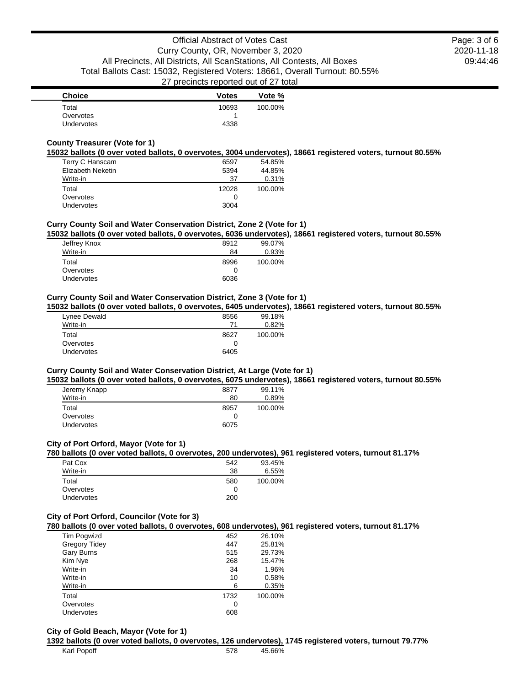2020-11-18 09:44:46 Page: 3 of 6

| <b>Choice</b>      | <b>Votes</b> | Vote %  |
|--------------------|--------------|---------|
| Total<br>Overvotes | 10693        | 100.00% |
| Undervotes         | 4338         |         |

# **County Treasurer (Vote for 1)**

**15032 ballots (0 over voted ballots, 0 overvotes, 3004 undervotes), 18661 registered voters, turnout 80.55%**

| Terry C Hanscam   | 6597  | 54.85%  |
|-------------------|-------|---------|
| Elizabeth Neketin | 5394  | 44.85%  |
| Write-in          | 37    | 0.31%   |
| Total             | 12028 | 100.00% |
|                   |       |         |
| Overvotes         | 0     |         |

# **Curry County Soil and Water Conservation District, Zone 2 (Vote for 1)**

**15032 ballots (0 over voted ballots, 0 overvotes, 6036 undervotes), 18661 registered voters, turnout 80.55%**

| Jeffrey Knox | 8912 | 99.07%  |
|--------------|------|---------|
| Write-in     | 84   | 0.93%   |
| Total        | 8996 | 100.00% |
| Overvotes    | O    |         |
| Undervotes   | 6036 |         |

### **Curry County Soil and Water Conservation District, Zone 3 (Vote for 1)**

**15032 ballots (0 over voted ballots, 0 overvotes, 6405 undervotes), 18661 registered voters, turnout 80.55%**

| Lynee Dewald      | 8556 | 99.18%  |
|-------------------|------|---------|
| Write-in          | 71   | 0.82%   |
| Total             | 8627 | 100.00% |
| Overvotes         |      |         |
| <b>Undervotes</b> | 6405 |         |
|                   |      |         |

# **Curry County Soil and Water Conservation District, At Large (Vote for 1)**

**15032 ballots (0 over voted ballots, 0 overvotes, 6075 undervotes), 18661 registered voters, turnout 80.55%**

| 8877 | 99.11%  |
|------|---------|
| 80   | 0.89%   |
| 8957 | 100.00% |
|      |         |
| 6075 |         |
|      |         |

#### **City of Port Orford, Mayor (Vote for 1)**

**780 ballots (0 over voted ballots, 0 overvotes, 200 undervotes), 961 registered voters, turnout 81.17%**

| Pat Cox    | 542 | 93.45%  |
|------------|-----|---------|
| Write-in   | 38  | 6.55%   |
| Total      | 580 | 100.00% |
| Overvotes  |     |         |
| Undervotes | 200 |         |

## **City of Port Orford, Councilor (Vote for 3)**

**780 ballots (0 over voted ballots, 0 overvotes, 608 undervotes), 961 registered voters, turnout 81.17%**

| <b>Tim Pogwizd</b>   | 452  | 26.10%  |
|----------------------|------|---------|
| <b>Gregory Tidey</b> | 447  | 25.81%  |
| Gary Burns           | 515  | 29.73%  |
| Kim Nye              | 268  | 15.47%  |
| Write-in             | 34   | 1.96%   |
| Write-in             | 10   | 0.58%   |
| Write-in             | 6    | 0.35%   |
| Total                | 1732 | 100.00% |
| Overvotes            | O    |         |
| <b>Undervotes</b>    | 608  |         |
|                      |      |         |

### **City of Gold Beach, Mayor (Vote for 1)**

**1392 ballots (0 over voted ballots, 0 overvotes, 126 undervotes), 1745 registered voters, turnout 79.77%**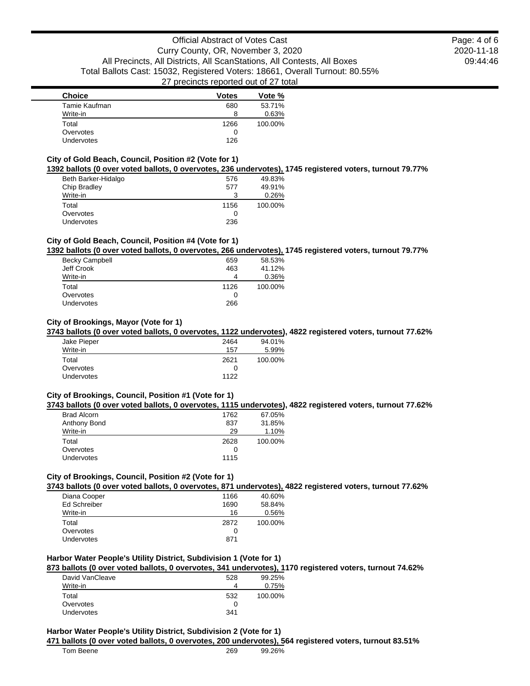2020-11-18 09:44:46 Page: 4 of 6

| <b>Choice</b> | <b>Votes</b> | Vote %  |
|---------------|--------------|---------|
| Tamie Kaufman | 680          | 53.71%  |
| Write-in      | 8            | 0.63%   |
| Total         | 1266         | 100.00% |
| Overvotes     | O            |         |
| Undervotes    | 126          |         |

## **City of Gold Beach, Council, Position #2 (Vote for 1)**

### **1392 ballots (0 over voted ballots, 0 overvotes, 236 undervotes), 1745 registered voters, turnout 79.77%**

| Beth Barker-Hidalgo | 576  | 49.83%  |
|---------------------|------|---------|
| Chip Bradley        | 577  | 49.91%  |
| Write-in            | 3    | 0.26%   |
| Total               | 1156 | 100.00% |
| Overvotes           | 0    |         |
| <b>Undervotes</b>   | 236  |         |

## **City of Gold Beach, Council, Position #4 (Vote for 1)**

#### **1392 ballots (0 over voted ballots, 0 overvotes, 266 undervotes), 1745 registered voters, turnout 79.77%**

|                       |      | . .     |
|-----------------------|------|---------|
| <b>Becky Campbell</b> | 659  | 58.53%  |
| Jeff Crook            | 463  | 41.12%  |
| Write-in              |      | 0.36%   |
| Total                 | 1126 | 100.00% |
| Overvotes             |      |         |
| <b>Undervotes</b>     | 266  |         |
|                       |      |         |

### **City of Brookings, Mayor (Vote for 1)**

#### **3743 ballots (0 over voted ballots, 0 overvotes, 1122 undervotes), 4822 registered voters, turnout 77.62%**

| Jake Pieper | 2464 | 94.01%  |
|-------------|------|---------|
| Write-in    | 157  | 5.99%   |
| Total       | 2621 | 100.00% |
| Overvotes   |      |         |
| Undervotes  | 1122 |         |

### **City of Brookings, Council, Position #1 (Vote for 1)**

#### **3743 ballots (0 over voted ballots, 0 overvotes, 1115 undervotes), 4822 registered voters, turnout 77.62%**

| <b>Brad Alcorn</b> | 1762 | 67.05%  |
|--------------------|------|---------|
| Anthony Bond       | 837  | 31.85%  |
| Write-in           | 29   | 1.10%   |
| Total              | 2628 | 100.00% |
| Overvotes          |      |         |
| <b>Undervotes</b>  | 1115 |         |
|                    |      |         |

### **City of Brookings, Council, Position #2 (Vote for 1)**

**3743 ballots (0 over voted ballots, 0 overvotes, 871 undervotes), 4822 registered voters, turnout 77.62%**

| Diana Cooper        | 1166 | 40.60%  |
|---------------------|------|---------|
| <b>Ed Schreiber</b> | 1690 | 58.84%  |
| Write-in            | 16   | 0.56%   |
| Total               | 2872 | 100.00% |
| Overvotes           | 0    |         |
| <b>Undervotes</b>   | 871  |         |
|                     |      |         |

# **Harbor Water People's Utility District, Subdivision 1 (Vote for 1)**

### **873 ballots (0 over voted ballots, 0 overvotes, 341 undervotes), 1170 registered voters, turnout 74.62%**

| David VanCleave   | 528 | 99.25%  |
|-------------------|-----|---------|
| Write-in          |     | 0.75%   |
| Total             | 532 | 100.00% |
| Overvotes         |     |         |
| <b>Undervotes</b> | 341 |         |
|                   |     |         |

### **Harbor Water People's Utility District, Subdivision 2 (Vote for 1)**

### **471 ballots (0 over voted ballots, 0 overvotes, 200 undervotes), 564 registered voters, turnout 83.51%**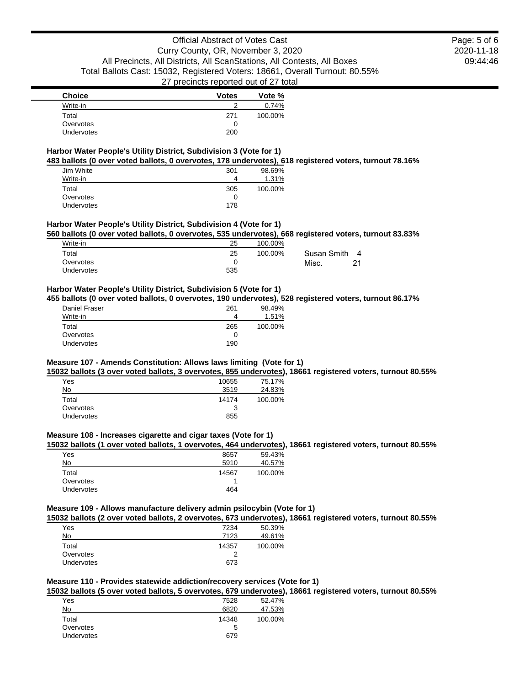2020-11-18 09:44:46 Page: 5 of 6

| <b>Choice</b>     | <b>Votes</b> | Vote %  |
|-------------------|--------------|---------|
| Write-in          |              | 0.74%   |
| Total             | 271          | 100.00% |
| Overvotes         | $\mathbf{0}$ |         |
| <b>Undervotes</b> | 200          |         |

#### **Harbor Water People's Utility District, Subdivision 3 (Vote for 1) 483 ballots (0 over voted ballots, 0 overvotes, 178 undervotes), 618 registered voters, turnout 78.16%**

| Jim White  | 301 | 98.69%  |
|------------|-----|---------|
| Write-in   | 4   | 1.31%   |
| Total      | 305 | 100.00% |
| Overvotes  |     |         |
| Undervotes | 178 |         |

#### **Harbor Water People's Utility District, Subdivision 4 (Vote for 1)**

**560 ballots (0 over voted ballots, 0 overvotes, 535 undervotes), 668 registered voters, turnout 83.83%**

| Write-in   | 25  | 100.00% |                               |
|------------|-----|---------|-------------------------------|
| Total      | 25  | 100.00% | Susan Smith<br>$\overline{4}$ |
| Overvotes  |     |         | Misc.<br>21                   |
| Undervotes | 535 |         |                               |

# **Harbor Water People's Utility District, Subdivision 5 (Vote for 1)**

**455 ballots (0 over voted ballots, 0 overvotes, 190 undervotes), 528 registered voters, turnout 86.17%**

| Daniel Fraser     | 261 | 98.49%  |
|-------------------|-----|---------|
| Write-in          | 4   | 1.51%   |
| Total             | 265 | 100.00% |
| Overvotes         |     |         |
| <b>Undervotes</b> | 190 |         |

### **Measure 107 - Amends Constitution: Allows laws limiting (Vote for 1)**

**15032 ballots (3 over voted ballots, 3 overvotes, 855 undervotes), 18661 registered voters, turnout 80.55%**

| Yes        | 10655 | 75.17%  |
|------------|-------|---------|
| No         | 3519  | 24.83%  |
| Total      | 14174 | 100.00% |
| Overvotes  | 3     |         |
| Undervotes | 855   |         |

#### **Measure 108 - Increases cigarette and cigar taxes (Vote for 1)**

**15032 ballots (1 over voted ballots, 1 overvotes, 464 undervotes), 18661 registered voters, turnout 80.55%**

| Yes        | 8657  | 59.43%  |
|------------|-------|---------|
| No         | 5910  | 40.57%  |
| Total      | 14567 | 100.00% |
| Overvotes  |       |         |
| Undervotes | 464   |         |

### **Measure 109 - Allows manufacture delivery admin psilocybin (Vote for 1)**

**15032 ballots (2 over voted ballots, 2 overvotes, 673 undervotes), 18661 registered voters, turnout 80.55%**

| Yes               | 7234  | 50.39%  |
|-------------------|-------|---------|
| No                | 7123  | 49.61%  |
| Total             | 14357 | 100.00% |
| Overvotes         |       |         |
| <b>Undervotes</b> | 673   |         |

# **Measure 110 - Provides statewide addiction/recovery services (Vote for 1)**

**15032 ballots (5 over voted ballots, 5 overvotes, 679 undervotes), 18661 registered voters, turnout 80.55%**

| Yes        | 7528  | 52.47%  |
|------------|-------|---------|
| No         | 6820  | 47.53%  |
| Total      | 14348 | 100.00% |
| Overvotes  | 5     |         |
| Undervotes | 679   |         |